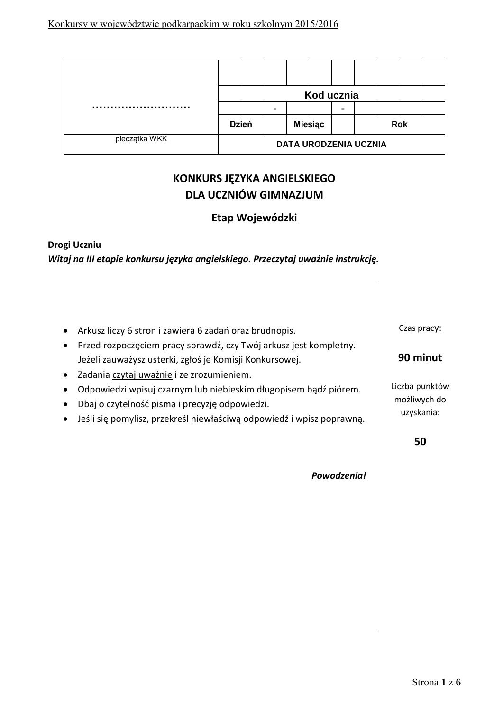|               | Kod ucznia                   |              |  |                |  |                |  |  |  |  |
|---------------|------------------------------|--------------|--|----------------|--|----------------|--|--|--|--|
|               |                              |              |  |                |  | $\blacksquare$ |  |  |  |  |
|               |                              | <b>Dzień</b> |  | <b>Miesiąc</b> |  | <b>Rok</b>     |  |  |  |  |
| pieczątka WKK | <b>DATA URODZENIA UCZNIA</b> |              |  |                |  |                |  |  |  |  |

# **KONKURS JĘZYKA ANGIELSKIEGO DLA UCZNIÓW GIMNAZJUM**

## **Etap Wojewódzki**

## **Drogi Uczniu** *Witaj na III etapie konkursu języka angielskiego. Przeczytaj uważnie instrukcję.*

- Arkusz liczy 6 stron i zawiera 6 zadań oraz brudnopis.
- Przed rozpoczęciem pracy sprawdź, czy Twój arkusz jest kompletny. Jeżeli zauważysz usterki, zgłoś je Komisji Konkursowej.
- Zadania czytaj uważnie i ze zrozumieniem.
- Odpowiedzi wpisuj czarnym lub niebieskim długopisem bądź piórem.
- Dbaj o czytelność pisma i precyzję odpowiedzi.
- Jeśli się pomylisz, przekreśl niewłaściwą odpowiedź i wpisz poprawną.

Czas pracy:

## **90 minut**

Liczba punktów możliwych do uzyskania:

**50**

*Powodzenia!*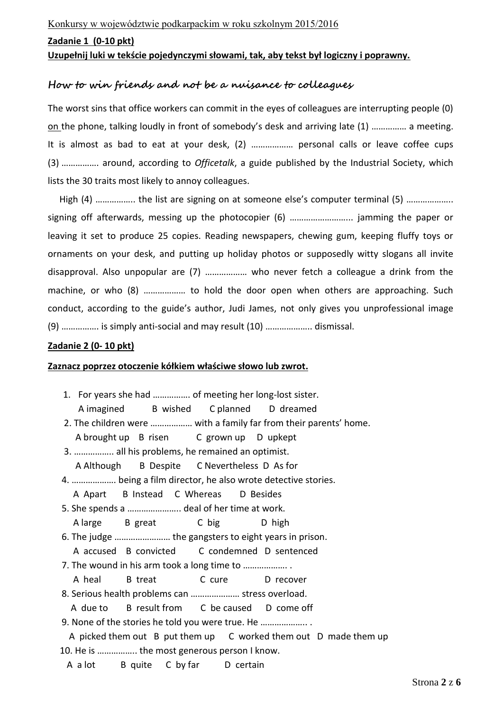#### **Zadanie 1 (0-10 pkt)**

#### **Uzupełnij luki w tekście pojedynczymi słowami, tak, aby tekst był logiczny i poprawny.**

### **How to win friends and not be a nuisance to colleagues**

The worst sins that office workers can commit in the eyes of colleagues are interrupting people (0) on the phone, talking loudly in front of somebody's desk and arriving late (1) …………… a meeting. It is almost as bad to eat at your desk, (2) ……………… personal calls or leave coffee cups (3) ……………. around, according to *Officetalk*, a guide published by the Industrial Society, which lists the 30 traits most likely to annoy colleagues.

High (4) …………….. the list are signing on at someone else's computer terminal (5) ……………….. signing off afterwards, messing up the photocopier (6) ………………………... jamming the paper or leaving it set to produce 25 copies. Reading newspapers, chewing gum, keeping fluffy toys or ornaments on your desk, and putting up holiday photos or supposedly witty slogans all invite disapproval. Also unpopular are (7) ……………… who never fetch a colleague a drink from the machine, or who (8) .................. to hold the door open when others are approaching. Such conduct, according to the guide's author, Judi James, not only gives you unprofessional image (9) ……………. is simply anti-social and may result (10) ……………….. dismissal.

#### **Zadanie 2 (0- 10 pkt)**

#### **Zaznacz poprzez otoczenie kółkiem właściwe słowo lub zwrot.**

| 1. For years she had  of meeting her long-lost sister.            |  |  |  |  |  |
|-------------------------------------------------------------------|--|--|--|--|--|
| A imagined B wished C planned D dreamed                           |  |  |  |  |  |
| 2. The children were  with a family far from their parents' home. |  |  |  |  |  |
| A brought up B risen C grown up D upkept                          |  |  |  |  |  |
| 3.  all his problems, he remained an optimist.                    |  |  |  |  |  |
| A Although B Despite C Nevertheless D As for                      |  |  |  |  |  |
| 4.  being a film director, he also wrote detective stories.       |  |  |  |  |  |
| A Apart B Instead C Whereas D Besides                             |  |  |  |  |  |
| 5. She spends a  deal of her time at work.                        |  |  |  |  |  |
| A large B great C big D high                                      |  |  |  |  |  |
| 6. The judge  the gangsters to eight years in prison.             |  |  |  |  |  |
| A accused B convicted C condemned D sentenced                     |  |  |  |  |  |
| 7. The wound in his arm took a long time to                       |  |  |  |  |  |
| A heal B treat C cure D recover                                   |  |  |  |  |  |
| 8. Serious health problems can  stress overload.                  |  |  |  |  |  |
| A due to B result from C be caused D come off                     |  |  |  |  |  |
| 9. None of the stories he told you were true. He                  |  |  |  |  |  |
| A picked them out B put them up C worked them out D made them up  |  |  |  |  |  |
| 10. He is  the most generous person I know.                       |  |  |  |  |  |
| A a lot B quite C by far D certain                                |  |  |  |  |  |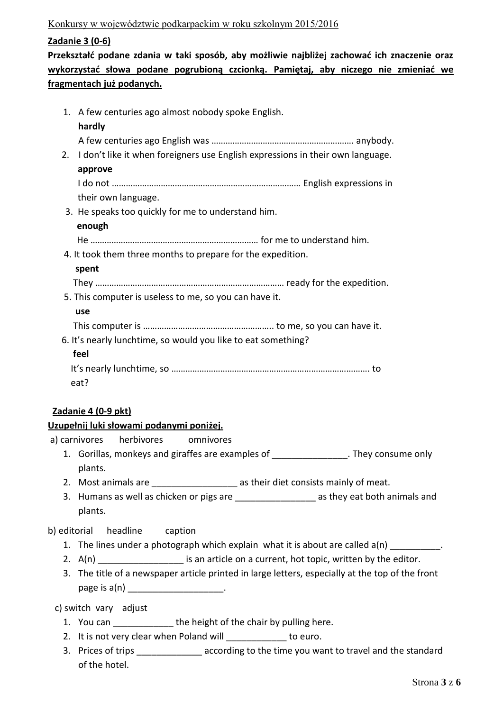### Konkursy w województwie podkarpackim w roku szkolnym 2015/2016

### **Zadanie 3 (0-6)**

**Przekształć podane zdania w taki sposób, aby możliwie najbliżej zachować ich znaczenie oraz wykorzystać słowa podane pogrubioną czcionką. Pamiętaj, aby niczego nie zmieniać we fragmentach już podanych.**

|    | 1. A few centuries ago almost nobody spoke English.                                         |
|----|---------------------------------------------------------------------------------------------|
|    | hardly                                                                                      |
|    |                                                                                             |
| 2. | I don't like it when foreigners use English expressions in their own language.              |
|    | approve                                                                                     |
|    |                                                                                             |
|    | their own language.                                                                         |
|    | 3. He speaks too quickly for me to understand him.                                          |
|    | enough                                                                                      |
|    |                                                                                             |
|    | 4. It took them three months to prepare for the expedition.                                 |
|    | spent                                                                                       |
|    |                                                                                             |
|    | 5. This computer is useless to me, so you can have it.                                      |
|    | use                                                                                         |
|    |                                                                                             |
|    | 6. It's nearly lunchtime, so would you like to eat something?                               |
|    | feel                                                                                        |
|    |                                                                                             |
|    | eat?                                                                                        |
|    |                                                                                             |
|    | Zadanie 4 (0-9 pkt)                                                                         |
|    | <u>Uzupełnij luki słowami podanymi poniżej.</u>                                             |
|    | a) carnivores<br>herbivores omnivores                                                       |
|    | 1. Gorillas, monkeys and giraffes are examples of _________________. They consume only      |
|    | plants.                                                                                     |
|    | 2. Most animals are _____________________ as their diet consists mainly of meat.            |
|    | 3. Humans as well as chicken or pigs are _____________________ as they eat both animals and |

b) editorial headline caption

- 1. The lines under a photograph which explain what it is about are called a(n) \_\_\_\_\_\_\_\_\_\_.
- 2.  $A(n)$  is an article on a current, hot topic, written by the editor.
- 3. The title of a newspaper article printed in large letters, especially at the top of the front  $page is a(n)$

c) switch vary adjust

plants.

- 1. You can \_\_\_\_\_\_\_\_\_\_\_\_\_\_ the height of the chair by pulling here.
- 2. It is not very clear when Poland will **the unit of the contact of the unit of the unit of the unit of the unit**
- 3. Prices of trips \_\_\_\_\_\_\_\_\_\_\_\_\_\_\_ according to the time you want to travel and the standard of the hotel.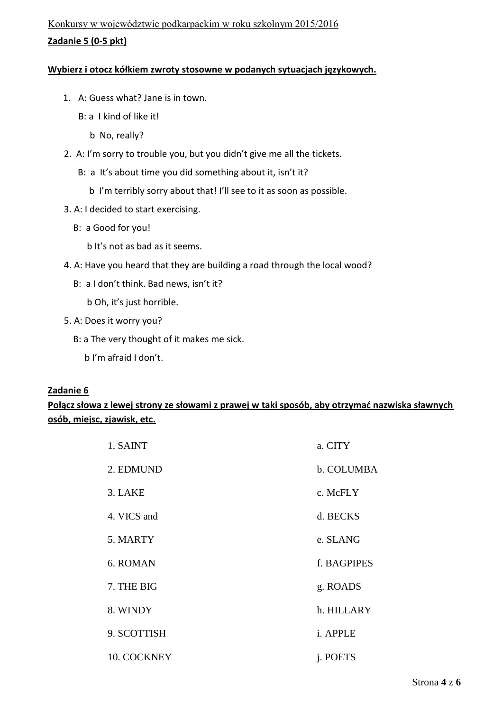### **Wybierz i otocz kółkiem zwroty stosowne w podanych sytuacjach językowych.**

- 1. A: Guess what? Jane is in town.
	- B: a I kind of like it!
		- b No, really?
- 2. A: I'm sorry to trouble you, but you didn't give me all the tickets.
	- B: a It's about time you did something about it, isn't it?
		- b I'm terribly sorry about that! I'll see to it as soon as possible.
- 3. A: I decided to start exercising.
	- B: a Good for you!
		- b It's not as bad as it seems.
- 4. A: Have you heard that they are building a road through the local wood?
	- B: a I don't think. Bad news, isn't it?
		- b Oh, it's just horrible.
- 5. A: Does it worry you?
	- B: a The very thought of it makes me sick.
		- b I'm afraid I don't.

### **Zadanie 6**

## **Połącz słowa z lewej strony ze słowami z prawej w taki sposób, aby otrzymać nazwiska sławnych osób, miejsc, zjawisk, etc.**

| 1. SAINT    | a. CITY     |
|-------------|-------------|
| 2. EDMUND   | b. COLUMBA  |
| 3. LAKE     | c. McFLY    |
| 4. VICS and | d. BECKS    |
| 5. MARTY    | e. SLANG    |
| 6. ROMAN    | f. BAGPIPES |
| 7. THE BIG  | g. ROADS    |
| 8. WINDY    | h. HILLARY  |
| 9. SCOTTISH | i. APPLE    |
| 10. COCKNEY | j. POETS    |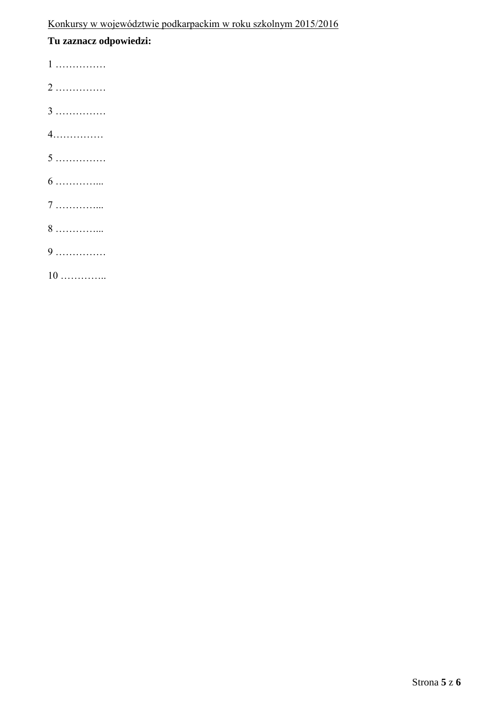## **Tu zaznacz odpowiedzi:**

1 ……………

- 2 ……………
- 3 ……………
- 4……………
- 5 ……………
- 6 …………...
- 7 …………...
- 8 …………...
- 9 ……………
- 10 …………..